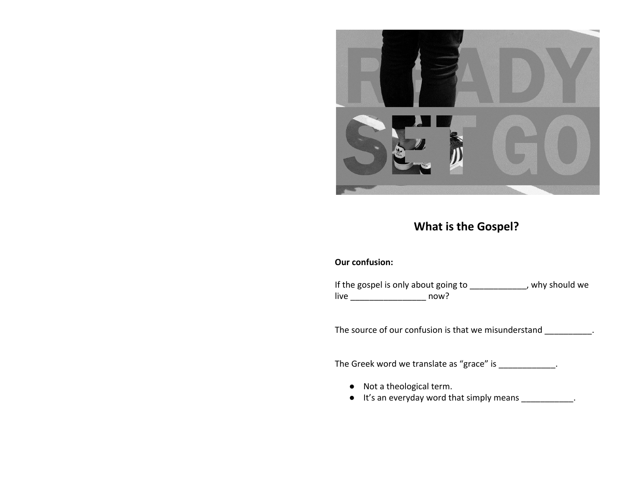

# **What is the Gospel?**

#### **Our confusion:**

If the gospel is only about going to \_\_\_\_\_\_\_\_\_\_\_, why should we live \_\_\_\_\_\_\_\_\_\_\_\_\_\_\_\_ now?

The source of our confusion is that we misunderstand \_\_\_\_\_\_\_\_\_\_.

The Greek word we translate as "grace" is \_\_\_\_\_\_\_\_\_\_\_\_.

- Not a theological term.
- It's an everyday word that simply means \_\_\_\_\_\_\_\_\_\_\_.